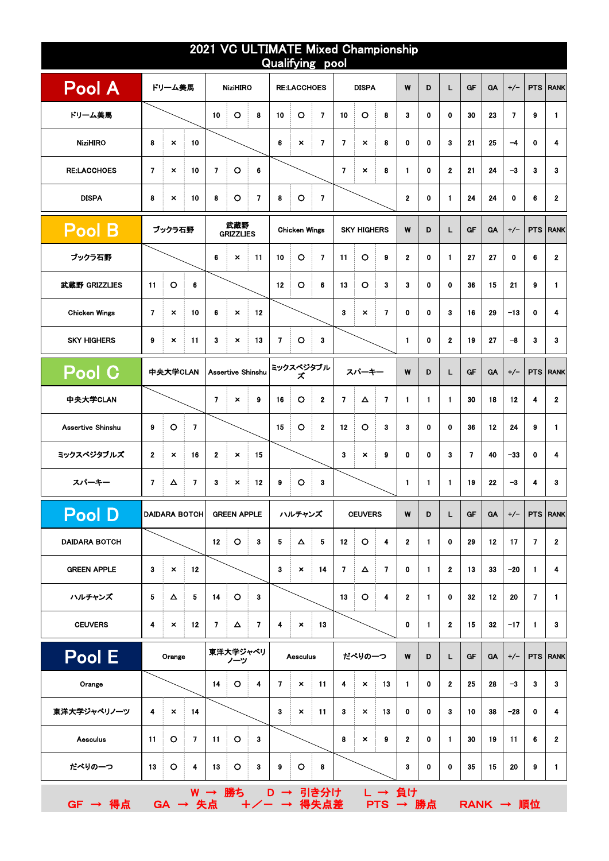| 2021 VC ULTIMATE Mixed Championship<br>Qualifying pool |                          |                           |                      |                |                           |                |                |                           |                         |                |                           |                          |              |             |              |                         |           |                          |                         |                 |
|--------------------------------------------------------|--------------------------|---------------------------|----------------------|----------------|---------------------------|----------------|----------------|---------------------------|-------------------------|----------------|---------------------------|--------------------------|--------------|-------------|--------------|-------------------------|-----------|--------------------------|-------------------------|-----------------|
| <b>Pool A</b>                                          |                          | ドリーム美馬                    |                      |                | <b>NiziHIRO</b>           |                |                | <b>RE:LACCHOES</b>        |                         |                | <b>DISPA</b>              |                          | W            | D           | L.           | GF                      | <b>GA</b> | $+/-$                    |                         | <b>PTS RANK</b> |
| ドリーム美馬                                                 |                          |                           |                      | 10             | $\circ$                   | 8              | 10             | $\circ$                   | $\overline{\mathbf{z}}$ | 10             | $\circ$                   | 8                        | 3            | 0           | 0            | 30                      | 23        | $\overline{\phantom{a}}$ | 9                       | 1               |
| <b>NiziHIRO</b>                                        | 8                        | $\pmb{\times}$            | 10                   |                |                           |                | 6              | $\boldsymbol{\mathsf{x}}$ | $\overline{7}$          | $\overline{7}$ | $\pmb{\times}$            | 8                        | 0            | 0           | 3            | 21                      | 25        | $-4$                     | 0                       | 4               |
| <b>RE:LACCHOES</b>                                     | $\overline{7}$           | $\pmb{\times}$            | 10                   | $\overline{7}$ | $\circ$                   | 6              |                |                           |                         | $\mathbf{7}$   | $\pmb{\times}$            | 8                        | 1            | $\mathbf o$ | $\mathbf{2}$ | 21                      | 24        | $-3$                     | $\mathbf{3}$            | 3               |
| <b>DISPA</b>                                           | 8                        | $\boldsymbol{\mathsf{x}}$ | 10                   | 8              | $\circ$                   | $\overline{7}$ | 8              | $\circ$                   | $\overline{7}$          |                |                           |                          | $\mathbf{2}$ | 0           | $\mathbf{1}$ | 24                      | 24        | 0                        | 6                       | $\mathbf 2$     |
| <b>Pool B</b>                                          |                          | ブックラ石野                    |                      |                | 武蔵野<br><b>GRIZZLIES</b>   |                |                | <b>Chicken Wings</b>      |                         |                | <b>SKY HIGHERS</b>        |                          | W            | D           | L.           | GF                      | <b>GA</b> | $+/-$                    |                         | <b>PTS RANK</b> |
| ブックラ石野                                                 |                          |                           |                      | 6              | $\boldsymbol{\mathsf{x}}$ | 11<br>÷        | 10             | $\circ$                   | $\overline{7}$          | 11             | $\circ$                   | $\boldsymbol{9}$         | $\mathbf{2}$ | 0           | $\mathbf{1}$ | 27                      | 27        | 0                        | 6                       | $\mathbf{2}$    |
| 武蔵野 GRIZZLIES                                          | 11                       | $\circ$                   | 6                    |                |                           |                | 12             | $\circ$                   | 6                       | 13             | $\circ$                   | 3                        | 3            | 0           | 0            | 36                      | 15        | 21                       | 9                       | 1               |
| <b>Chicken Wings</b>                                   | $\overline{ }$           | $\pmb{\times}$            | 10                   | 6              | $\boldsymbol{\mathsf{x}}$ | 12             |                |                           |                         | 3              | $\pmb{\times}$            | $\overline{\phantom{a}}$ | $\mathbf{0}$ | 0           | 3            | 16                      | 29        | $-13$                    | $\mathbf 0$             | 4               |
| <b>SKY HIGHERS</b>                                     | 9                        | $\boldsymbol{\mathsf{x}}$ | 11                   | 3              | $\boldsymbol{\mathsf{x}}$ | 13             | $\overline{7}$ | $\circ$                   | 3                       |                |                           |                          | 1            | 0           | $\mathbf{2}$ | 19                      | 27        | $-8$                     | 3                       | 3               |
| Pool C                                                 |                          | 中央大学CLAN                  |                      |                | Assertive Shinshu         |                |                | ミックスベジタブル<br>ズ            |                         |                | スパーキー                     |                          | W            | D           | L.           | GF                      | <b>GA</b> | $+/-$                    |                         | <b>PTS RANK</b> |
| 中央大学CLAN                                               |                          |                           |                      | $\overline{ }$ | $\pmb{\times}$            | 9              | 16             | O                         | $\mathbf{2}$            | $\overline{7}$ | Δ                         | $\overline{7}$           | $\mathbf{1}$ | 1           | $\mathbf{1}$ | 30                      | 18        | 12                       | 4                       | $\mathbf 2$     |
| Assertive Shinshu                                      | 9                        | $\circ$                   | $\overline{7}$       |                |                           |                | 15             | O                         | $\mathbf{2}$            | 12             | $\circ$                   | 3                        | 3            | $\mathbf 0$ | $\mathbf 0$  | 36                      | 12        | 24                       | 9                       | 1               |
| ミックスペジタブルズ                                             | $\mathbf{2}$             | $\pmb{\times}$            | 16                   | $\mathbf{2}$   | $\pmb{\times}$            | 15             |                |                           |                         | 3              | $\pmb{\times}$            | 9                        | 0            | 0           | 3            | $\overline{\mathbf{z}}$ | 40        | $-33$                    | 0                       | 4               |
| スパーキー                                                  | $\overline{\phantom{a}}$ | Δ                         | $\overline{ }$       | 3              | ×                         | 12             | 9              | O                         | 3                       |                |                           |                          | 1            | 1           | $\mathbf{1}$ | 19                      | 22        | $-3$                     | 4                       | 3               |
| <b>Pool D</b>                                          |                          |                           | <b>DAIDARA BOTCH</b> |                | <b>GREEN APPLE</b>        |                |                | ハルチャンズ                    |                         |                | <b>CEUVERS</b>            |                          | W            | D           | L.           | GF                      | <b>GA</b> | $+/-$                    |                         | <b>PTS RANK</b> |
| <b>DAIDARA BOTCH</b>                                   |                          |                           |                      | 12             | $\circ$                   | 3              | 5              | Δ                         | 5                       | 12             | $\circ$                   | 4                        | $\mathbf{2}$ | 1           | 0            | 29                      | 12        | 17                       | $\overline{\mathbf{z}}$ | $\mathbf 2$     |
| <b>GREEN APPLE</b>                                     | 3                        | $\pmb{\times}$            | 12                   |                |                           |                | 3              | $\boldsymbol{\mathsf{x}}$ | 14                      | 7              | Δ                         | $\overline{7}$           | 0            | 1           | $\mathbf{2}$ | 13                      | 33        | $-20$                    | $\mathbf{1}$            | 4               |
| ハルチャンズ                                                 | 5                        | Δ                         | 5                    | 14             | $\circ$<br>÷              | 3              |                |                           |                         | 13             | $\circ$                   | 4                        | $\mathbf{2}$ | 1           | 0            | 32                      | 12        | 20                       | $\overline{7}$          | 1               |
| <b>CEUVERS</b>                                         | 4                        | $\boldsymbol{\mathsf{x}}$ | 12                   | 7              | $\Delta$                  | 7              | 4              | $\boldsymbol{\mathsf{x}}$ | 13                      |                |                           |                          | 0            | 1           | $\mathbf{2}$ | 15                      | 32        | $-17$                    | 1                       | 3               |
| Pool E                                                 |                          | Orange                    |                      |                | 東洋大学ジャベリ<br>ノーツ           |                |                | <b>Aesculus</b>           |                         |                | だべりの一つ                    |                          | W            | D           | L            | GF                      | <b>GA</b> | $+/-$                    |                         | PTS RANK        |
| Orange                                                 |                          |                           |                      | 14             | $\circ$                   | 4              | $\overline{7}$ | $\boldsymbol{\mathsf{x}}$ | 11                      | 4              | $\pmb{\times}$            | 13<br>÷                  | $\mathbf{1}$ | 0           | $\mathbf{2}$ | 25                      | 28        | $-3$                     | $\mathbf{3}$            | 3               |
| 東洋大学ジャベリノーツ                                            | 4                        | $\pmb{\times}$            | ÷<br>14              |                |                           |                | 3              | $\boldsymbol{\mathsf{x}}$ | 11                      | 3              | $\boldsymbol{\mathsf{x}}$ | 13                       | 0            | 0           | 3            | 10                      | 38        | $-28$                    | 0                       | 4               |
| <b>Aesculus</b>                                        | 11                       | $\circ$                   | $\overline{7}$       | 11             | $\circ$                   | 3              |                |                           |                         | 8              | $\pmb{\times}$            | 9                        | $\mathbf{2}$ | 0           | $\mathbf{1}$ | 30                      | 19        | 11                       | 6                       | $\mathbf 2$     |
| だべりの一つ                                                 | 13                       | $\circ$                   | 4                    | 13             | $\circ$                   | 3              | 9              | $\circ$<br>÷              | 8                       |                |                           |                          | 3            | 0           | 0            | 35                      | 15        | 20                       | 9                       | 1.              |
| GF → 得点                                                |                          |                           | GA → 失点              |                | W → 勝ち D → 引き分け           |                | $+/- -$        |                           | 得失点差                    |                |                           | L → 負け<br>PTS → 勝点       |              |             |              | <b>RANK → 順位</b>        |           |                          |                         |                 |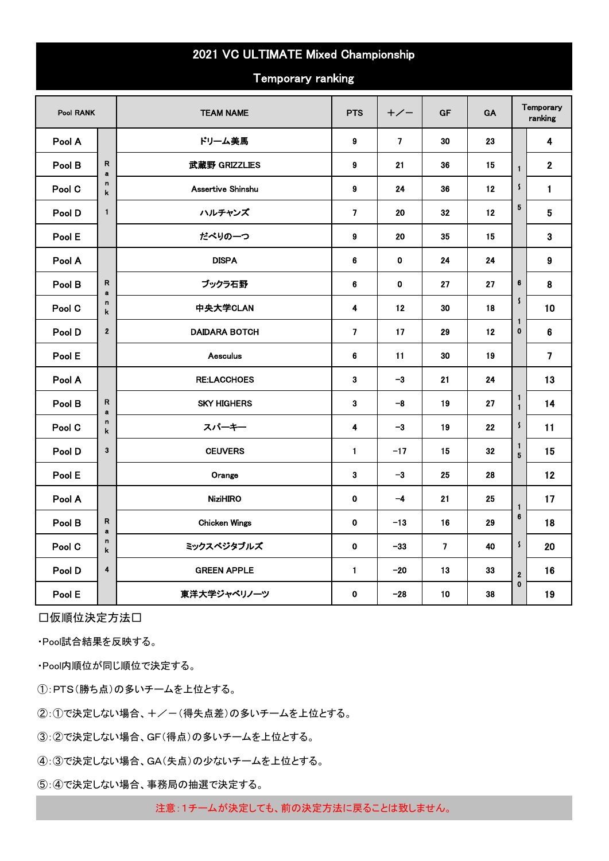## 2021 VC ULTIMATE Mixed Championship

Temporary ranking

| Pool RANK |                  | <b>TEAM NAME</b>     | <b>PTS</b>     | $+/-$          | <b>GF</b>      | GA |                         | Temporary<br>ranking    |
|-----------|------------------|----------------------|----------------|----------------|----------------|----|-------------------------|-------------------------|
| Pool A    |                  | ドリーム美馬               | 9              | $\overline{7}$ | 30             | 23 |                         | 4                       |
| Pool B    | R<br>a           | 武蔵野 GRIZZLIES        | 9              | 21             | 36             | 15 | $\mathbf{1}$            | $\mathbf{2}$            |
| Pool C    | n<br>k           | Assertive Shinshu    | 9              | 24             | 36             | 12 | $\pmb{\mathsf{s}}$      | $\mathbf{1}$            |
| Pool D    | $\mathbf{1}$     | ハルチャンズ               | $\overline{7}$ | 20             | 32             | 12 | 5                       | $5\phantom{.0}$         |
| Pool E    |                  | だべりの一つ               | 9              | 20             | 35             | 15 |                         | $\mathbf{3}$            |
| Pool A    |                  | <b>DISPA</b>         | 6              | $\mathbf 0$    | 24             | 24 |                         | $\boldsymbol{9}$        |
| Pool B    | R<br>$\mathbf a$ | ブックラ石野               | 6              | $\mathbf 0$    | 27             | 27 | 6                       | 8                       |
| Pool C    | n<br>k           | 中央大学CLAN             | 4              | 12             | 30             | 18 | $\mathsf{\hat{S}}$      | 10                      |
| Pool D    | $\mathbf 2$      | <b>DAIDARA BOTCH</b> | $\overline{7}$ | 17             | 29             | 12 | $\mathbf{1}$<br>0       | 6                       |
| Pool E    |                  | <b>Aesculus</b>      | 6              | 11             | 30             | 19 |                         | $\overline{\mathbf{z}}$ |
| Pool A    |                  | <b>RE:LACCHOES</b>   | 3              | $-3$           | 21             | 24 |                         | 13                      |
| Pool B    | R<br>a           | <b>SKY HIGHERS</b>   | 3              | -8             | 19             | 27 | 1<br>$\blacksquare$     | 14                      |
| Pool C    | n<br>k           | スパーキー                | 4              | $-3$           | 19             | 22 | $\pmb{\mathsf{s}}$      | 11                      |
| Pool D    | 3                | <b>CEUVERS</b>       | $\mathbf{1}$   | $-17$          | 15             | 32 | 1<br>5                  | 15                      |
| Pool E    |                  | Orange               | 3              | $-3$           | 25             | 28 |                         | 12                      |
| Pool A    |                  | <b>NiziHIRO</b>      | $\mathbf 0$    | $-4$           | 21             | 25 | $\blacksquare$          | 17                      |
| Pool B    | R<br>a           | <b>Chicken Wings</b> | $\mathbf 0$    | $-13$          | 16             | 29 | 6                       | 18                      |
| Pool C    | n<br>k           | ミックスベジタブルズ           | $\mathbf 0$    | $-33$          | $\overline{7}$ | 40 | $\pmb{\mathsf{s}}$      | 20                      |
| Pool D    | 4                | <b>GREEN APPLE</b>   | 1              | $-20$          | 13             | 33 | $\overline{\mathbf{2}}$ | 16                      |
| Pool E    |                  | 東洋大学ジャベリノーツ          | $\mathbf 0$    | $-28$          | 10             | 38 | $\mathbf{0}$            | 19                      |

□仮順位決定方法□

・Pool試合結果を反映する。

・Pool内順位が同じ順位で決定する。

①:PTS(勝ち点)の多いチームを上位とする。

②:①で決定しない場合、+/-(得失点差)の多いチームを上位とする。

③:②で決定しない場合、GF(得点)の多いチームを上位とする。

④:③で決定しない場合、GA(失点)の少ないチームを上位とする。

⑤:④で決定しない場合、事務局の抽選で決定する。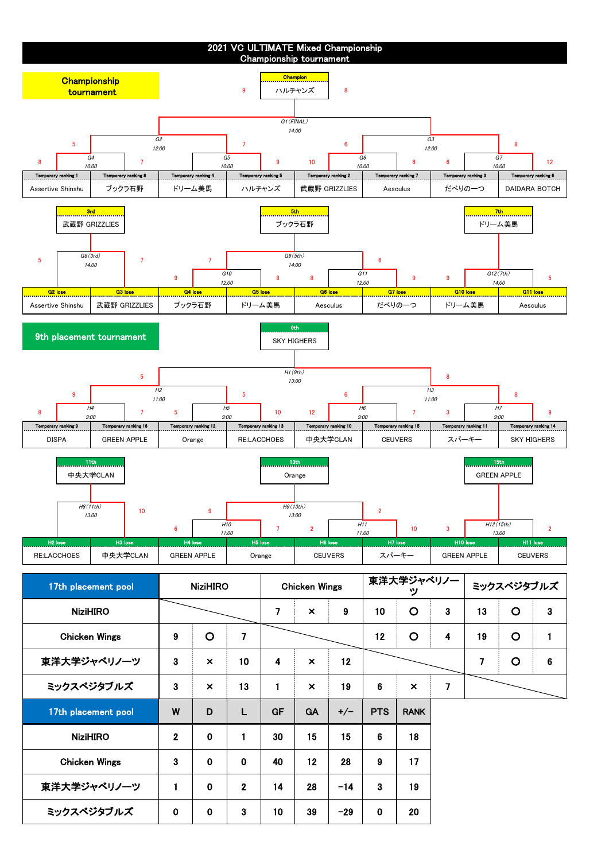